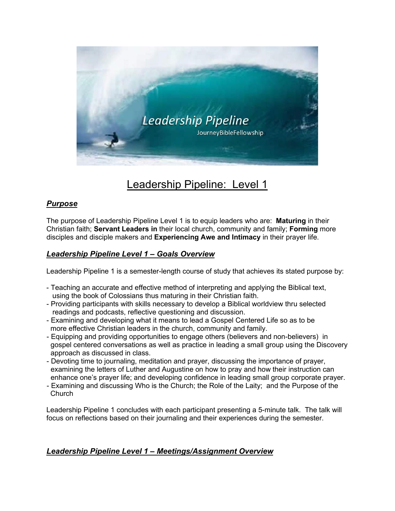

# Leadership Pipeline: Level 1

# *Purpose*

The purpose of Leadership Pipeline Level 1 is to equip leaders who are: **Maturing** in their Christian faith; **Servant Leaders in** their local church, community and family; **Forming** more disciples and disciple makers and **Experiencing Awe and Intimacy** in their prayer life.

## *Leadership Pipeline Level 1 – Goals Overview*

Leadership Pipeline 1 is a semester-length course of study that achieves its stated purpose by:

- Teaching an accurate and effective method of interpreting and applying the Biblical text, using the book of Colossians thus maturing in their Christian faith.
- Providing participants with skills necessary to develop a Biblical worldview thru selected readings and podcasts, reflective questioning and discussion.
- Examining and developing what it means to lead a Gospel Centered Life so as to be more effective Christian leaders in the church, community and family.
- Equipping and providing opportunities to engage others (believers and non-believers) in gospel centered conversations as well as practice in leading a small group using the Discovery approach as discussed in class.
- Devoting time to journaling, meditation and prayer, discussing the importance of prayer, examining the letters of Luther and Augustine on how to pray and how their instruction can enhance one's prayer life; and developing confidence in leading small group corporate prayer.
- Examining and discussing Who is the Church; the Role of the Laity; and the Purpose of the **Church**

Leadership Pipeline 1 concludes with each participant presenting a 5-minute talk. The talk will focus on reflections based on their journaling and their experiences during the semester.

### *Leadership Pipeline Level 1 – Meetings/Assignment Overview*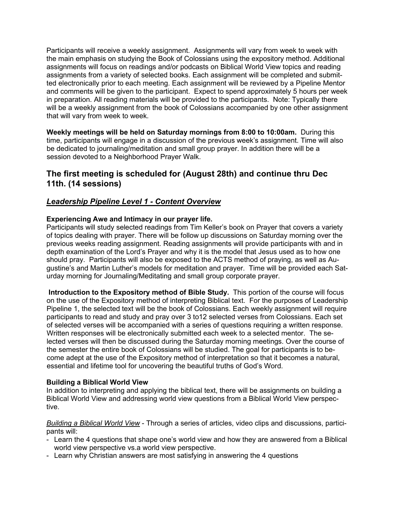Participants will receive a weekly assignment. Assignments will vary from week to week with the main emphasis on studying the Book of Colossians using the expository method. Additional assignments will focus on readings and/or podcasts on Biblical World View topics and reading assignments from a variety of selected books. Each assignment will be completed and submitted electronically prior to each meeting. Each assignment will be reviewed by a Pipeline Mentor and comments will be given to the participant. Expect to spend approximately 5 hours per week in preparation. All reading materials will be provided to the participants. Note: Typically there will be a weekly assignment from the book of Colossians accompanied by one other assignment that will vary from week to week.

**Weekly meetings will be held on Saturday mornings from 8:00 to 10:00am.** During this time, participants will engage in a discussion of the previous week's assignment. Time will also be dedicated to journaling/meditation and small group prayer. In addition there will be a session devoted to a Neighborhood Prayer Walk.

# **The first meeting is scheduled for (August 28th) and continue thru Dec 11th. (14 sessions)**

## *Leadership Pipeline Level 1 - Content Overview*

#### **Experiencing Awe and Intimacy in our prayer life.**

Participants will study selected readings from Tim Keller's book on Prayer that covers a variety of topics dealing with prayer. There will be follow up discussions on Saturday morning over the previous weeks reading assignment. Reading assignments will provide participants with and in depth examination of the Lord's Prayer and why it is the model that Jesus used as to how one should pray. Participants will also be exposed to the ACTS method of praying, as well as Augustine's and Martin Luther's models for meditation and prayer. Time will be provided each Saturday morning for Journaling/Meditating and small group corporate prayer.

**Introduction to the Expository method of Bible Study.** This portion of the course will focus on the use of the Expository method of interpreting Biblical text. For the purposes of Leadership Pipeline 1, the selected text will be the book of Colossians. Each weekly assignment will require participants to read and study and pray over 3 to12 selected verses from Colossians. Each set of selected verses will be accompanied with a series of questions requiring a written response. Written responses will be electronically submitted each week to a selected mentor. The selected verses will then be discussed during the Saturday morning meetings. Over the course of the semester the entire book of Colossians will be studied. The goal for participants is to become adept at the use of the Expository method of interpretation so that it becomes a natural, essential and lifetime tool for uncovering the beautiful truths of God's Word.

#### **Building a Biblical World View**

In addition to interpreting and applying the biblical text, there will be assignments on building a Biblical World View and addressing world view questions from a Biblical World View perspective.

*Building a Biblical World View* - Through a series of articles, video clips and discussions, participants will:

- Learn the 4 questions that shape one's world view and how they are answered from a Biblical world view perspective vs.a world view perspective.
- Learn why Christian answers are most satisfying in answering the 4 questions